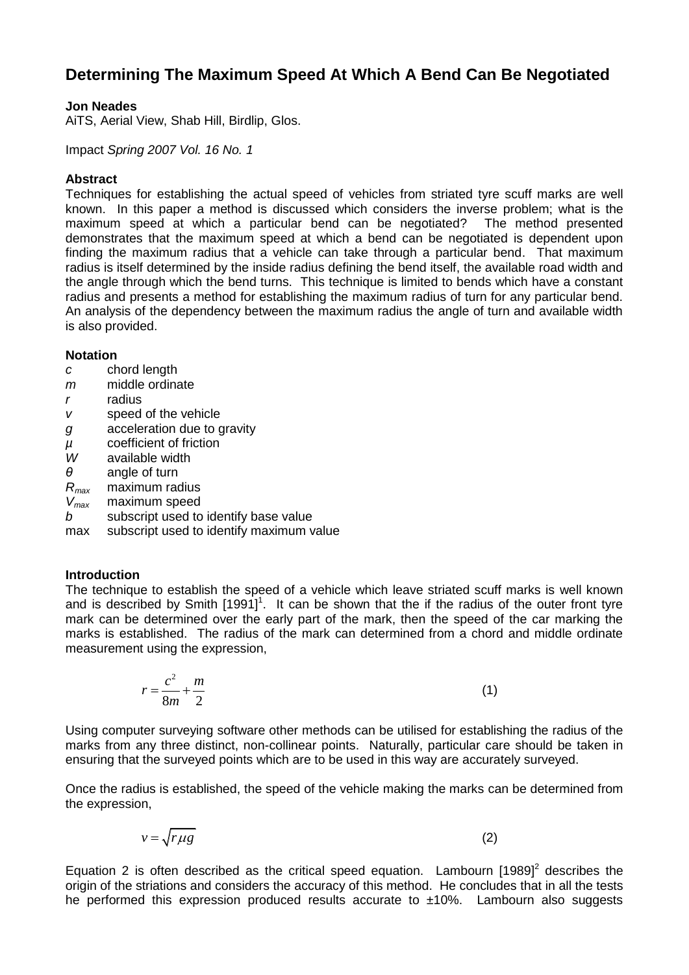### **Determining The Maximum Speed At Which A Bend Can Be Negotiated**

#### **Jon Neades**

AiTS, Aerial View, Shab Hill, Birdlip, Glos.

Impact *Spring 2007 Vol. 16 No. 1*

#### **Abstract**

Techniques for establishing the actual speed of vehicles from striated tyre scuff marks are well known. In this paper a method is discussed which considers the inverse problem; what is the maximum speed at which a particular bend can be negotiated? demonstrates that the maximum speed at which a bend can be negotiated is dependent upon finding the maximum radius that a vehicle can take through a particular bend. That maximum radius is itself determined by the inside radius defining the bend itself, the available road width and the angle through which the bend turns. This technique is limited to bends which have a constant radius and presents a method for establishing the maximum radius of turn for any particular bend. An analysis of the dependency between the maximum radius the angle of turn and available width is also provided.

#### **Notation**

- *c* chord length
- *m* middle ordinate
- *r* radius
- *v* speed of the vehicle
- *g* acceleration due to gravity
- *μ* coefficient of friction<br>*W* available width
- available width
- *θ* angle of turn
- *Rmax* maximum radius
- *Vmax* maximum speed
- *b* subscript used to identify base value
- max subscript used to identify maximum value

#### **Introduction**

The technique to establish the speed of a vehicle which leave striated scuff marks is well known and is described by Smith  $[1991]$ <sup>1</sup>. It can be shown that the if the radius of the outer front tyre mark can be determined over the early part of the mark, then the speed of the car marking the marks is established. The radius of the mark can determined from a chord and middle ordinate measurement using the expression,

$$
r = \frac{c^2}{8m} + \frac{m}{2} \tag{1}
$$

Using computer surveying software other methods can be utilised for establishing the radius of the marks from any three distinct, non-collinear points. Naturally, particular care should be taken in ensuring that the surveyed points which are to be used in this way are accurately surveyed.

Once the radius is established, the speed of the vehicle making the marks can be determined from the expression,

$$
v = \sqrt{r \mu g} \tag{2}
$$

Equation 2 is often described as the critical speed equation. Lambourn  $[1989]^2$  describes the origin of the striations and considers the accuracy of this method. He concludes that in all the tests he performed this expression produced results accurate to  $\pm 10\%$ . Lambourn also suggests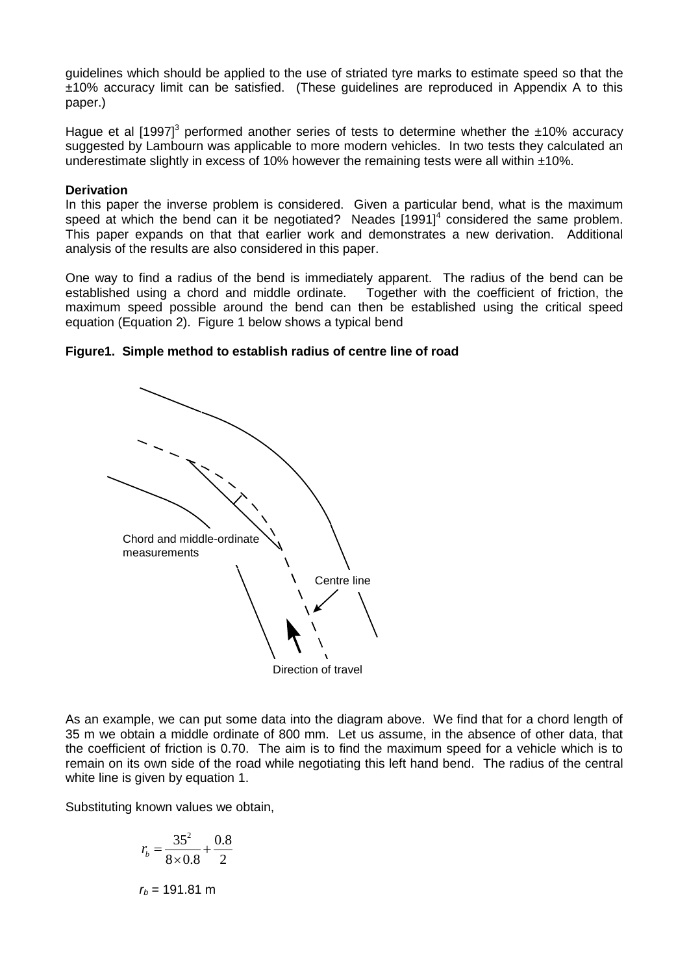guidelines which should be applied to the use of striated tyre marks to estimate speed so that the ±10% accuracy limit can be satisfied. (These guidelines are reproduced in Appendix A to this paper.)

Hague et al [1997]<sup>3</sup> performed another series of tests to determine whether the  $\pm$ 10% accuracy suggested by Lambourn was applicable to more modern vehicles. In two tests they calculated an underestimate slightly in excess of 10% however the remaining tests were all within  $\pm 10\%$ .

#### **Derivation**

In this paper the inverse problem is considered. Given a particular bend, what is the maximum speed at which the bend can it be negotiated? Neades  $[1991]^4$  considered the same problem. This paper expands on that that earlier work and demonstrates a new derivation. Additional analysis of the results are also considered in this paper.

One way to find a radius of the bend is immediately apparent. The radius of the bend can be established using a chord and middle ordinate. Together with the coefficient of friction, the maximum speed possible around the bend can then be established using the critical speed equation (Equation 2). Figure 1 below shows a typical bend

#### **Figure1. Simple method to establish radius of centre line of road**



As an example, we can put some data into the diagram above. We find that for a chord length of 35 m we obtain a middle ordinate of 800 mm. Let us assume, in the absence of other data, that the coefficient of friction is 0.70. The aim is to find the maximum speed for a vehicle which is to remain on its own side of the road while negotiating this left hand bend. The radius of the central white line is given by equation 1.

Substituting known values we obtain,

$$
r_b = \frac{35^2}{8 \times 0.8} + \frac{0.8}{2}
$$
  

$$
r_b = 191.81 \text{ m}
$$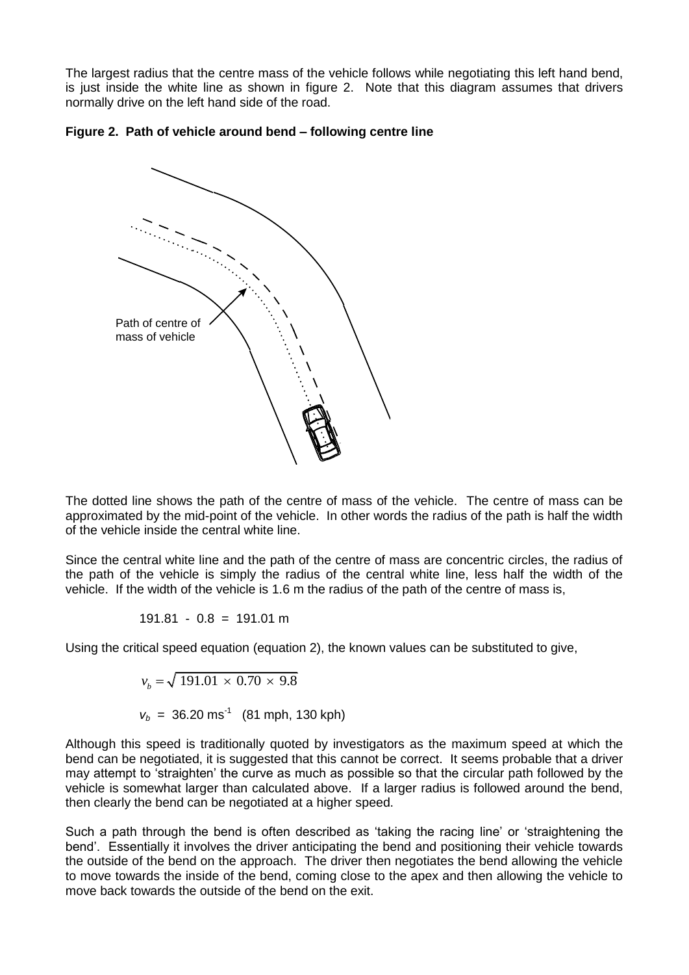The largest radius that the centre mass of the vehicle follows while negotiating this left hand bend, is just inside the white line as shown in figure 2. Note that this diagram assumes that drivers normally drive on the left hand side of the road.





The dotted line shows the path of the centre of mass of the vehicle. The centre of mass can be approximated by the mid-point of the vehicle. In other words the radius of the path is half the width of the vehicle inside the central white line.

Since the central white line and the path of the centre of mass are concentric circles, the radius of the path of the vehicle is simply the radius of the central white line, less half the width of the vehicle. If the width of the vehicle is 1.6 m the radius of the path of the centre of mass is,

$$
191.81 - 0.8 = 191.01 \text{ m}
$$

Using the critical speed equation (equation 2), the known values can be substituted to give,

$$
v_b = \sqrt{191.01 \times 0.70 \times 9.8}
$$

 $v_b = 36.20 \text{ ms}^{-1}$  (81 mph, 130 kph)

Although this speed is traditionally quoted by investigators as the maximum speed at which the bend can be negotiated, it is suggested that this cannot be correct. It seems probable that a driver may attempt to 'straighten' the curve as much as possible so that the circular path followed by the vehicle is somewhat larger than calculated above. If a larger radius is followed around the bend, then clearly the bend can be negotiated at a higher speed.

Such a path through the bend is often described as 'taking the racing line' or 'straightening the bend'. Essentially it involves the driver anticipating the bend and positioning their vehicle towards the outside of the bend on the approach. The driver then negotiates the bend allowing the vehicle to move towards the inside of the bend, coming close to the apex and then allowing the vehicle to move back towards the outside of the bend on the exit.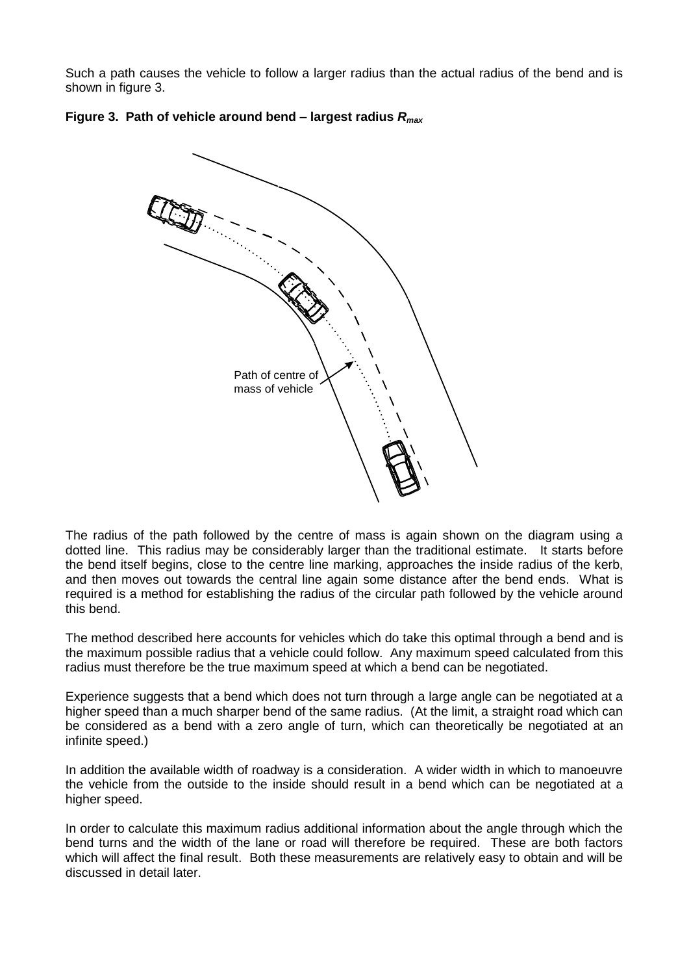Such a path causes the vehicle to follow a larger radius than the actual radius of the bend and is shown in figure 3.



### **Figure 3. Path of vehicle around bend – largest radius** *Rmax*

The radius of the path followed by the centre of mass is again shown on the diagram using a dotted line. This radius may be considerably larger than the traditional estimate. It starts before the bend itself begins, close to the centre line marking, approaches the inside radius of the kerb, and then moves out towards the central line again some distance after the bend ends. What is required is a method for establishing the radius of the circular path followed by the vehicle around this bend.

The method described here accounts for vehicles which do take this optimal through a bend and is the maximum possible radius that a vehicle could follow. Any maximum speed calculated from this radius must therefore be the true maximum speed at which a bend can be negotiated.

Experience suggests that a bend which does not turn through a large angle can be negotiated at a higher speed than a much sharper bend of the same radius. (At the limit, a straight road which can be considered as a bend with a zero angle of turn, which can theoretically be negotiated at an infinite speed.)

In addition the available width of roadway is a consideration. A wider width in which to manoeuvre the vehicle from the outside to the inside should result in a bend which can be negotiated at a higher speed.

In order to calculate this maximum radius additional information about the angle through which the bend turns and the width of the lane or road will therefore be required. These are both factors which will affect the final result. Both these measurements are relatively easy to obtain and will be discussed in detail later.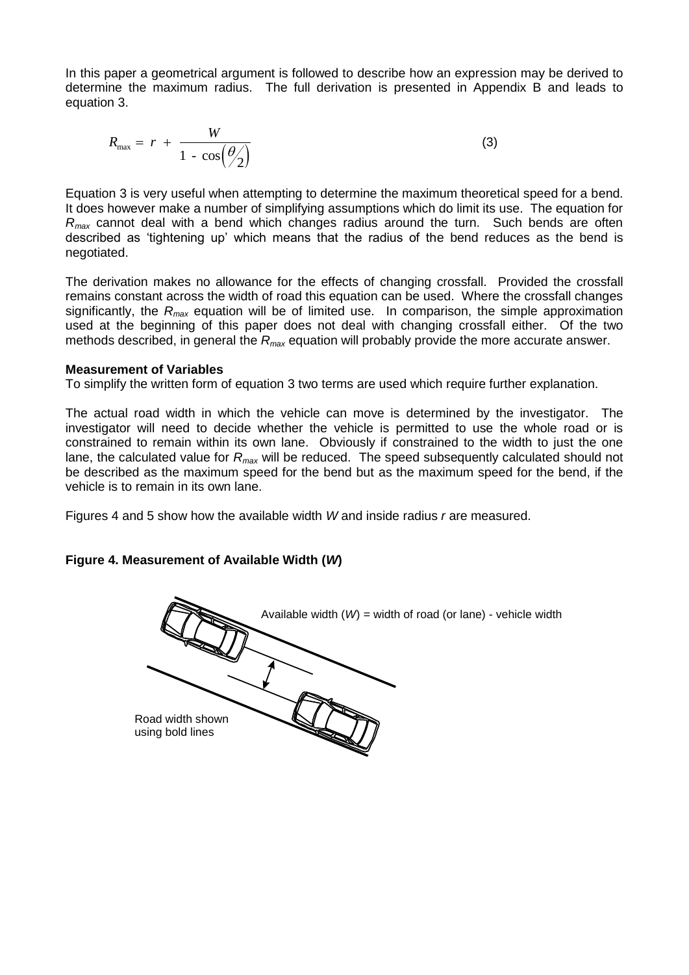In this paper a geometrical argument is followed to describe how an expression may be derived to determine the maximum radius. The full derivation is presented in Appendix B and leads to equation 3.

$$
R_{\max} = r + \frac{W}{1 - \cos(\frac{\theta}{2})}
$$
 (3)

Equation 3 is very useful when attempting to determine the maximum theoretical speed for a bend. It does however make a number of simplifying assumptions which do limit its use. The equation for *Rmax* cannot deal with a bend which changes radius around the turn. Such bends are often described as 'tightening up' which means that the radius of the bend reduces as the bend is negotiated.

The derivation makes no allowance for the effects of changing crossfall. Provided the crossfall remains constant across the width of road this equation can be used. Where the crossfall changes significantly, the *Rmax* equation will be of limited use. In comparison, the simple approximation used at the beginning of this paper does not deal with changing crossfall either. Of the two methods described, in general the *Rmax* equation will probably provide the more accurate answer.

#### **Measurement of Variables**

To simplify the written form of equation 3 two terms are used which require further explanation.

The actual road width in which the vehicle can move is determined by the investigator. The investigator will need to decide whether the vehicle is permitted to use the whole road or is constrained to remain within its own lane. Obviously if constrained to the width to just the one lane, the calculated value for *Rmax* will be reduced. The speed subsequently calculated should not be described as the maximum speed for the bend but as the maximum speed for the bend, if the vehicle is to remain in its own lane.

Figures 4 and 5 show how the available width *W* and inside radius *r* are measured.

#### **Figure 4. Measurement of Available Width (***W***)**

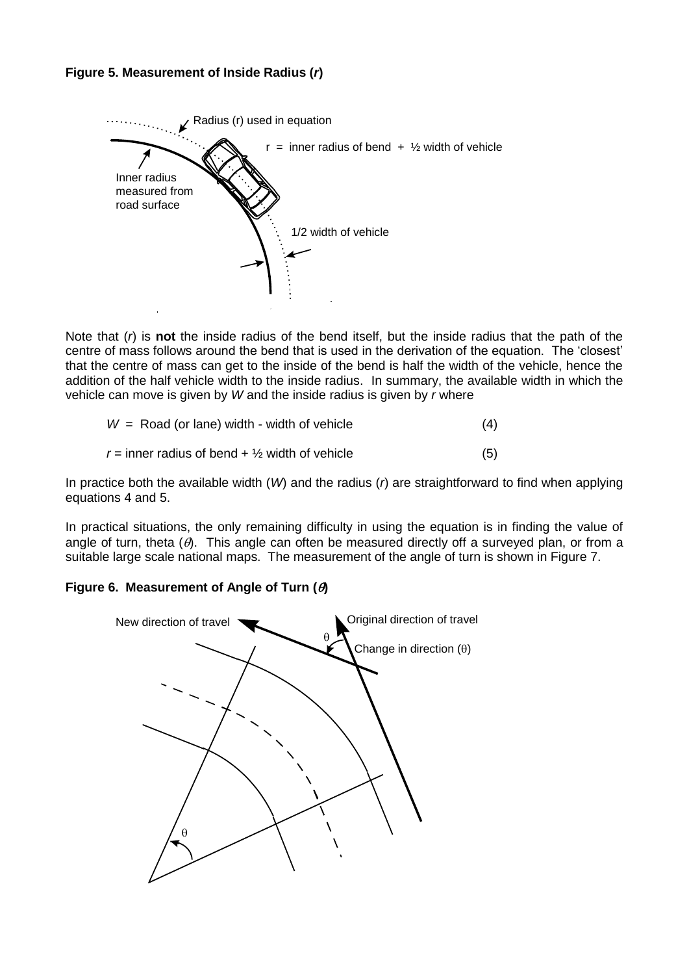



Note that (*r*) is **not** the inside radius of the bend itself, but the inside radius that the path of the centre of mass follows around the bend that is used in the derivation of the equation. The 'closest' that the centre of mass can get to the inside of the bend is half the width of the vehicle, hence the addition of the half vehicle width to the inside radius. In summary, the available width in which the vehicle can move is given by *W* and the inside radius is given by *r* where

|  | $W =$ Road (or lane) width - width of vehicle             |  |
|--|-----------------------------------------------------------|--|
|  | r = inner radius of bend + $\frac{1}{2}$ width of vehicle |  |

In practice both the available width (*W*) and the radius (*r*) are straightforward to find when applying equations 4 and 5.

In practical situations, the only remaining difficulty in using the equation is in finding the value of angle of turn, theta  $(\theta)$ . This angle can often be measured directly off a surveyed plan, or from a suitable large scale national maps. The measurement of the angle of turn is shown in Figure 7.

### **Figure 6. Measurement of Angle of Turn ()**

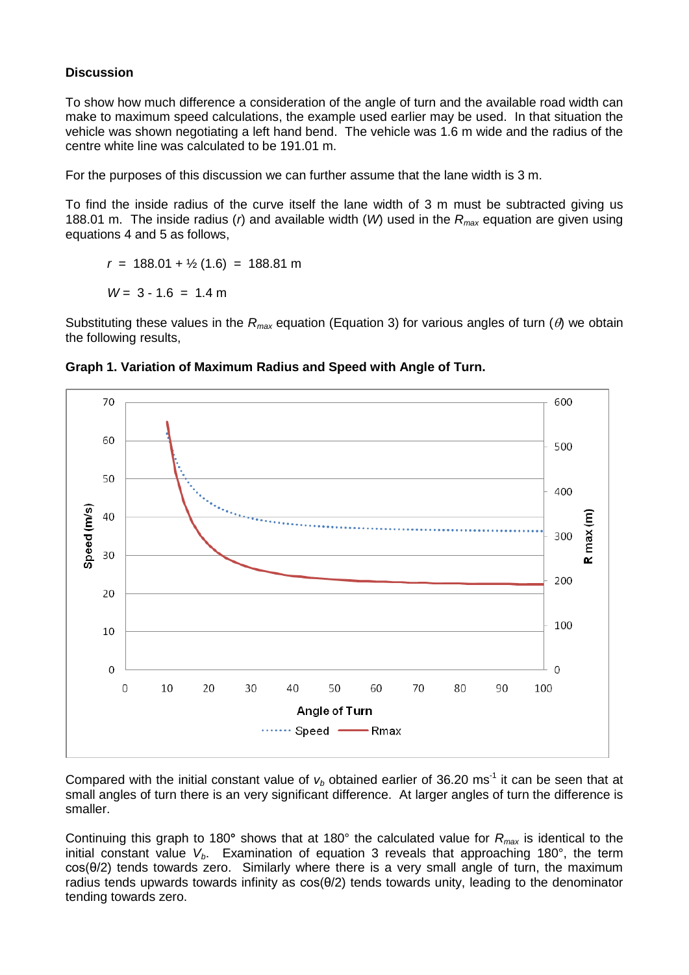### **Discussion**

To show how much difference a consideration of the angle of turn and the available road width can make to maximum speed calculations, the example used earlier may be used. In that situation the vehicle was shown negotiating a left hand bend. The vehicle was 1.6 m wide and the radius of the centre white line was calculated to be 191.01 m.

For the purposes of this discussion we can further assume that the lane width is 3 m.

To find the inside radius of the curve itself the lane width of 3 m must be subtracted giving us 188.01 m. The inside radius (*r*) and available width (*W*) used in the *Rmax* equation are given using equations 4 and 5 as follows,

 $r = 188.01 + \frac{1}{2}(1.6) = 188.81 \text{ m}$ 

 $W = 3 - 1.6 = 1.4$  m

Substituting these values in the  $R_{max}$  equation (Equation 3) for various angles of turn ( $\theta$ ) we obtain the following results,



**Graph 1. Variation of Maximum Radius and Speed with Angle of Turn.**

Compared with the initial constant value of  $v_b$  obtained earlier of 36.20 ms<sup>-1</sup> it can be seen that at small angles of turn there is an very significant difference. At larger angles of turn the difference is smaller.

Continuing this graph to 180**°** shows that at 180° the calculated value for *Rmax* is identical to the initial constant value *Vb*. Examination of equation 3 reveals that approaching 180°, the term cos(θ/2) tends towards zero. Similarly where there is a very small angle of turn, the maximum radius tends upwards towards infinity as cos(θ/2) tends towards unity, leading to the denominator tending towards zero.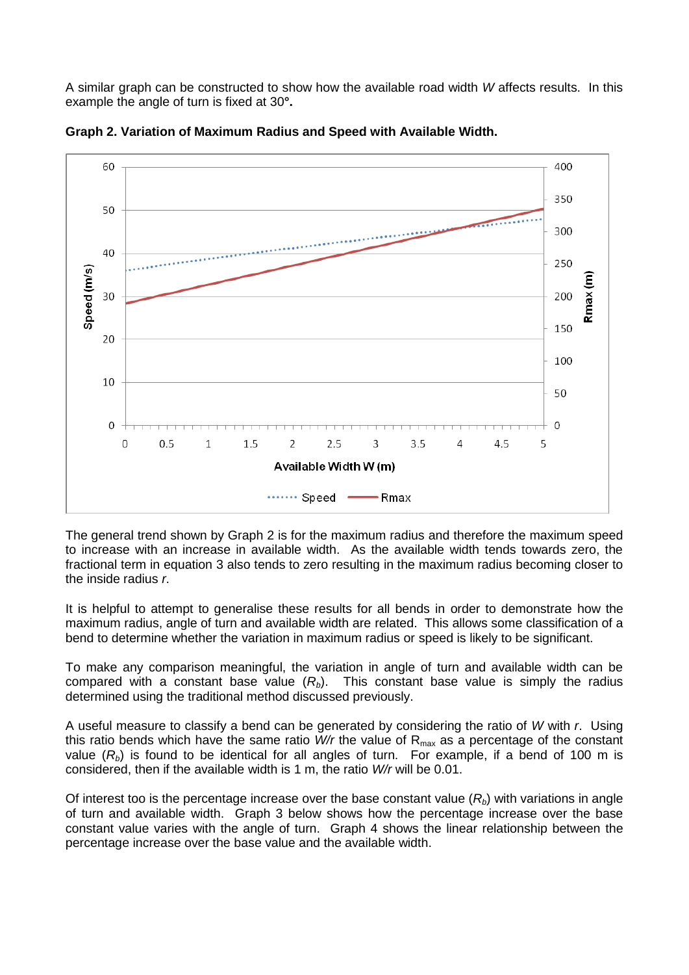A similar graph can be constructed to show how the available road width *W* affects results. In this example the angle of turn is fixed at 30**°.**



**Graph 2. Variation of Maximum Radius and Speed with Available Width.**

The general trend shown by Graph 2 is for the maximum radius and therefore the maximum speed to increase with an increase in available width. As the available width tends towards zero, the fractional term in equation 3 also tends to zero resulting in the maximum radius becoming closer to the inside radius *r*.

It is helpful to attempt to generalise these results for all bends in order to demonstrate how the maximum radius, angle of turn and available width are related. This allows some classification of a bend to determine whether the variation in maximum radius or speed is likely to be significant.

To make any comparison meaningful, the variation in angle of turn and available width can be compared with a constant base value (*Rb*). This constant base value is simply the radius determined using the traditional method discussed previously.

A useful measure to classify a bend can be generated by considering the ratio of *W* with *r*. Using this ratio bends which have the same ratio *W/r* the value of R<sub>max</sub> as a percentage of the constant value  $(R_b)$  is found to be identical for all angles of turn. For example, if a bend of 100 m is considered, then if the available width is 1 m, the ratio *W/r* will be 0.01.

Of interest too is the percentage increase over the base constant value (*Rb*) with variations in angle of turn and available width. Graph 3 below shows how the percentage increase over the base constant value varies with the angle of turn. Graph 4 shows the linear relationship between the percentage increase over the base value and the available width.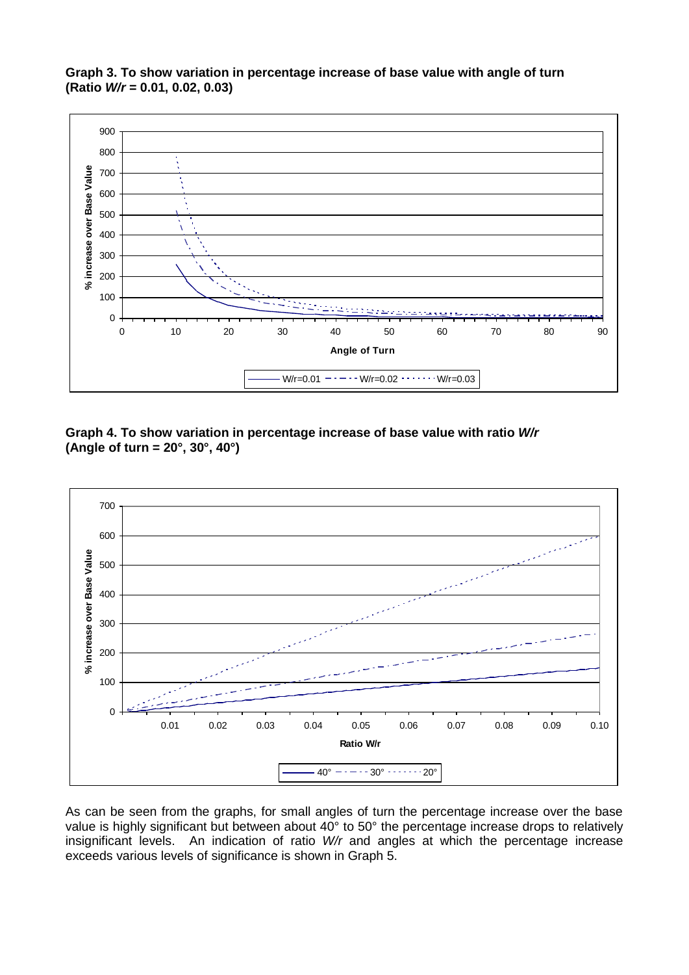**Graph 3. To show variation in percentage increase of base value with angle of turn (Ratio** *W/r* **= 0.01, 0.02, 0.03)**



**Graph 4. To show variation in percentage increase of base value with ratio** *W/r* **(Angle of turn = 20°, 30°, 40°)**



As can be seen from the graphs, for small angles of turn the percentage increase over the base value is highly significant but between about 40° to 50° the percentage increase drops to relatively insignificant levels. An indication of ratio *W/r* and angles at which the percentage increase exceeds various levels of significance is shown in Graph 5.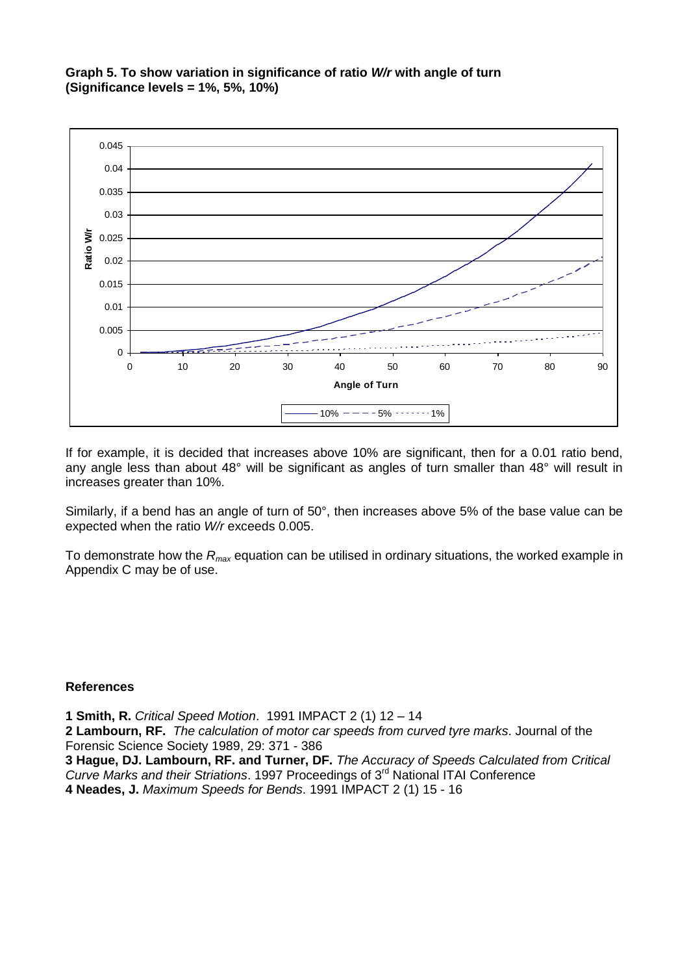#### **Graph 5. To show variation in significance of ratio** *W/r* **with angle of turn (Significance levels = 1%, 5%, 10%)**



If for example, it is decided that increases above 10% are significant, then for a 0.01 ratio bend, any angle less than about 48° will be significant as angles of turn smaller than 48° will result in increases greater than 10%.

Similarly, if a bend has an angle of turn of 50°, then increases above 5% of the base value can be expected when the ratio *W/r* exceeds 0.005.

To demonstrate how the *Rmax* equation can be utilised in ordinary situations, the worked example in Appendix C may be of use.

#### **References**

**1 Smith, R.** *Critical Speed Motion*. 1991 IMPACT 2 (1) 12 – 14 **2 Lambourn, RF.** *The calculation of motor car speeds from curved tyre marks*. Journal of the Forensic Science Society 1989, 29: 371 - 386 **3 Hague, DJ. Lambourn, RF. and Turner, DF.** *The Accuracy of Speeds Calculated from Critical Curve Marks and their Striations*. 1997 Proceedings of 3rd National ITAI Conference **4 Neades, J.** *Maximum Speeds for Bends*. 1991 IMPACT 2 (1) 15 - 16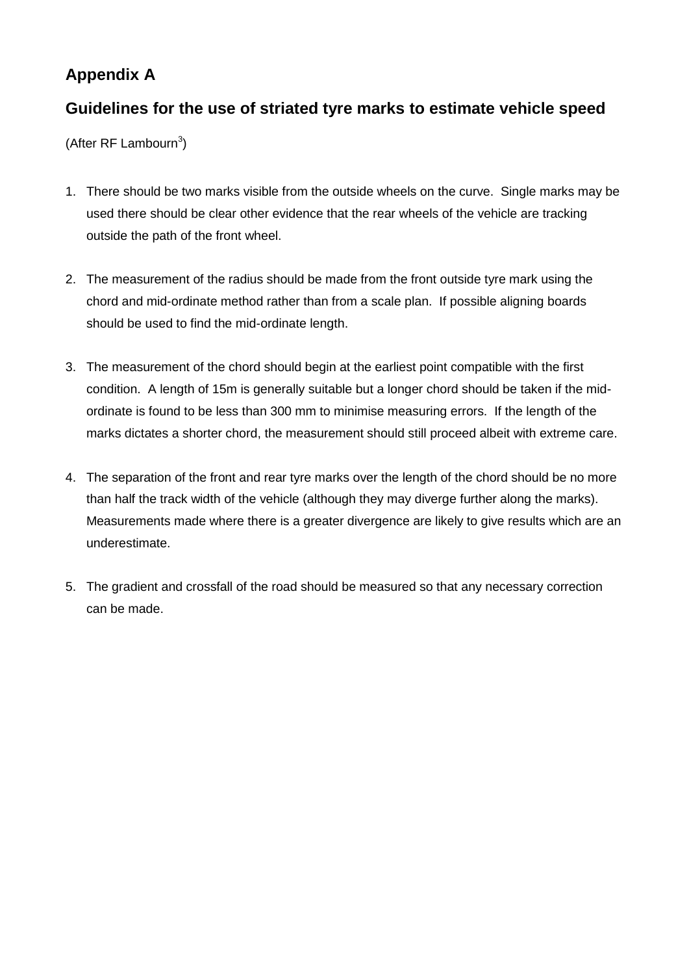# **Appendix A**

## **Guidelines for the use of striated tyre marks to estimate vehicle speed**

(After RF Lambourn<sup>3</sup>)

- 1. There should be two marks visible from the outside wheels on the curve. Single marks may be used there should be clear other evidence that the rear wheels of the vehicle are tracking outside the path of the front wheel.
- 2. The measurement of the radius should be made from the front outside tyre mark using the chord and mid-ordinate method rather than from a scale plan. If possible aligning boards should be used to find the mid-ordinate length.
- 3. The measurement of the chord should begin at the earliest point compatible with the first condition. A length of 15m is generally suitable but a longer chord should be taken if the midordinate is found to be less than 300 mm to minimise measuring errors. If the length of the marks dictates a shorter chord, the measurement should still proceed albeit with extreme care.
- 4. The separation of the front and rear tyre marks over the length of the chord should be no more than half the track width of the vehicle (although they may diverge further along the marks). Measurements made where there is a greater divergence are likely to give results which are an underestimate.
- 5. The gradient and crossfall of the road should be measured so that any necessary correction can be made.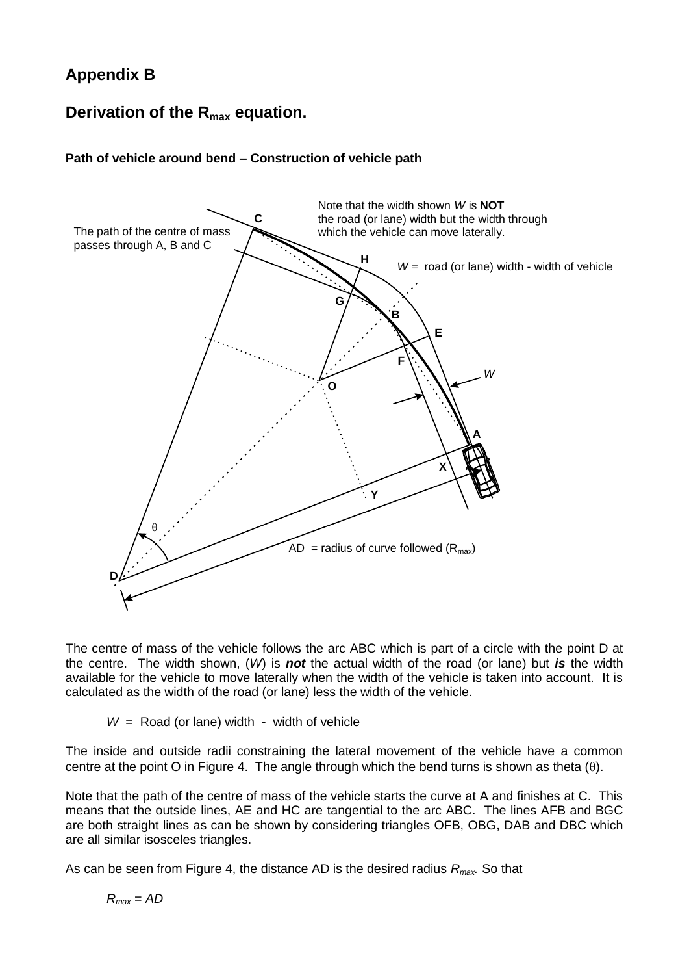# **Appendix B**

## **Derivation of the Rmax equation.**

### **Path of vehicle around bend – Construction of vehicle path**



The centre of mass of the vehicle follows the arc ABC which is part of a circle with the point D at the centre. The width shown, (*W*) is *not* the actual width of the road (or lane) but *is* the width available for the vehicle to move laterally when the width of the vehicle is taken into account. It is calculated as the width of the road (or lane) less the width of the vehicle.

*W* = Road (or lane) width - width of vehicle

The inside and outside radii constraining the lateral movement of the vehicle have a common centre at the point O in Figure 4. The angle through which the bend turns is shown as theta  $(\theta)$ .

Note that the path of the centre of mass of the vehicle starts the curve at A and finishes at C. This means that the outside lines, AE and HC are tangential to the arc ABC. The lines AFB and BGC are both straight lines as can be shown by considering triangles OFB, OBG, DAB and DBC which are all similar isosceles triangles.

As can be seen from Figure 4, the distance AD is the desired radius *Rmax.* So that

$$
R_{\text{max}} = AD
$$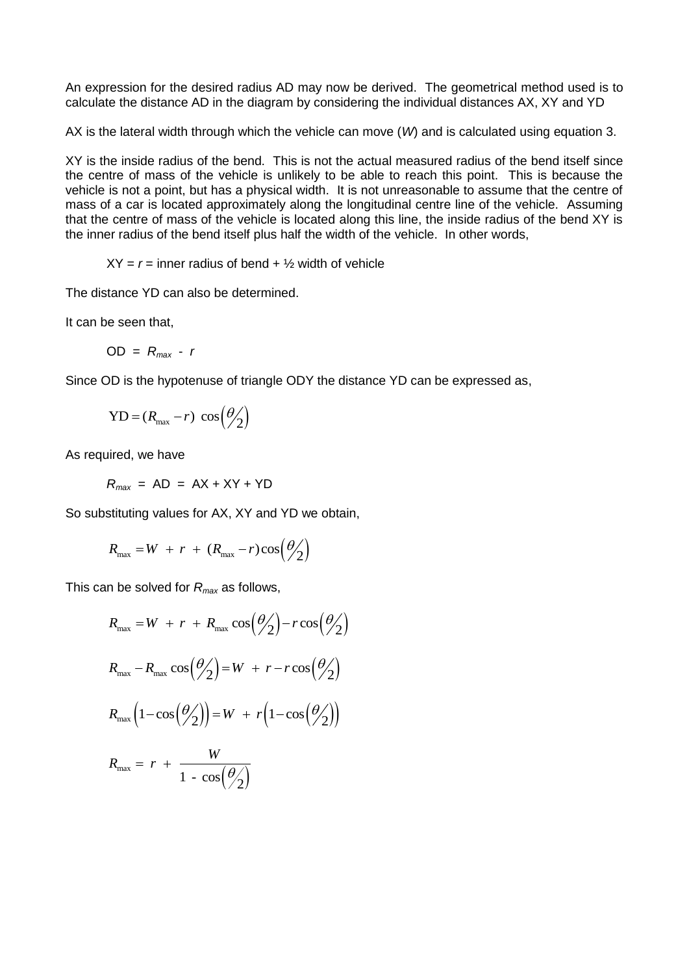An expression for the desired radius AD may now be derived. The geometrical method used is to calculate the distance AD in the diagram by considering the individual distances AX, XY and YD

AX is the lateral width through which the vehicle can move (*W*) and is calculated using equation 3.

XY is the inside radius of the bend. This is not the actual measured radius of the bend itself since the centre of mass of the vehicle is unlikely to be able to reach this point. This is because the vehicle is not a point, but has a physical width. It is not unreasonable to assume that the centre of mass of a car is located approximately along the longitudinal centre line of the vehicle. Assuming that the centre of mass of the vehicle is located along this line, the inside radius of the bend XY is the inner radius of the bend itself plus half the width of the vehicle. In other words,

 $XY = r =$  inner radius of bend  $+ \frac{1}{2}$  width of vehicle

The distance YD can also be determined.

It can be seen that,

 $OD = R_{max} - r$ 

Since OD is the hypotenuse of triangle ODY the distance YD can be expressed as,

$$
YD = (R_{\text{max}} - r) \cos(\frac{\theta}{2})
$$

As required, we have

 $R_{max}$  = AD = AX + XY + YD

So substituting values for AX, XY and YD we obtain,

$$
R_{\text{max}} = W + r + (R_{\text{max}} - r)\cos(\frac{\theta}{2})
$$

This can be solved for *Rmax* as follows,

$$
R_{\text{max}} = W + r + R_{\text{max}} \cos(\theta_2) - r \cos(\theta_2)
$$
  
\n
$$
R_{\text{max}} - R_{\text{max}} \cos(\theta_2) = W + r - r \cos(\theta_2)
$$
  
\n
$$
R_{\text{max}} \left(1 - \cos(\theta_2)\right) = W + r \left(1 - \cos(\theta_2)\right)
$$
  
\n
$$
R_{\text{max}} = r + \frac{W}{1 - \cos(\theta_2)}
$$